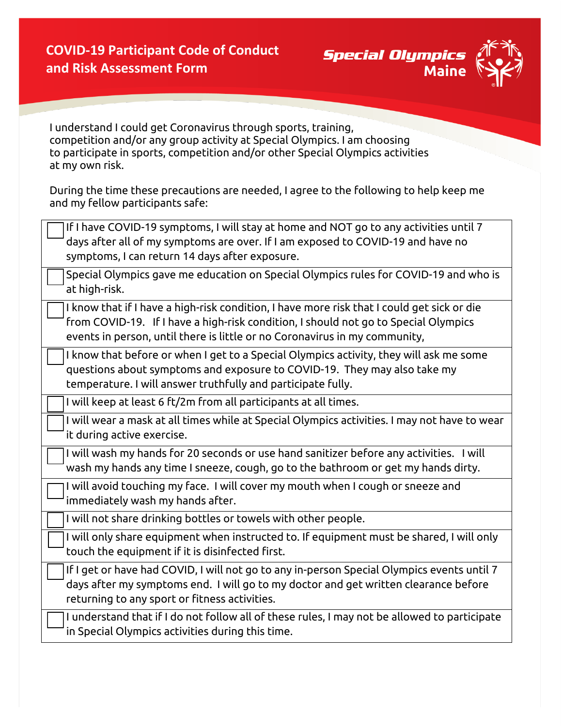

I understand I could get Coronavirus through sports, training, competition and/or any group activity at Special Olympics. I am choosing to participate in sports, competition and/or other Special Olympics activities at my own risk.

During the time these precautions are needed, I agree to the following to help keep me and my fellow participants safe:

| If I have COVID-19 symptoms, I will stay at home and NOT go to any activities until 7        |
|----------------------------------------------------------------------------------------------|
| days after all of my symptoms are over. If I am exposed to COVID-19 and have no              |
| symptoms, I can return 14 days after exposure.                                               |
| Special Olympics gave me education on Special Olympics rules for COVID-19 and who is         |
| at high-risk.                                                                                |
| I know that if I have a high-risk condition, I have more risk that I could get sick or die   |
| from COVID-19. If I have a high-risk condition, I should not go to Special Olympics          |
| events in person, until there is little or no Coronavirus in my community,                   |
| I know that before or when I get to a Special Olympics activity, they will ask me some       |
| questions about symptoms and exposure to COVID-19. They may also take my                     |
| temperature. I will answer truthfully and participate fully.                                 |
| I will keep at least 6 ft/2m from all participants at all times.                             |
| I will wear a mask at all times while at Special Olympics activities. I may not have to wear |
| it during active exercise.                                                                   |
| I will wash my hands for 20 seconds or use hand sanitizer before any activities. I will      |
| wash my hands any time I sneeze, cough, go to the bathroom or get my hands dirty.            |
| I will avoid touching my face. I will cover my mouth when I cough or sneeze and              |
| immediately wash my hands after.                                                             |
| I will not share drinking bottles or towels with other people.                               |
| I will only share equipment when instructed to. If equipment must be shared, I will only     |
| touch the equipment if it is disinfected first.                                              |
| If I get or have had COVID, I will not go to any in-person Special Olympics events until 7   |
| days after my symptoms end. I will go to my doctor and get written clearance before          |
| returning to any sport or fitness activities.                                                |
| I understand that if I do not follow all of these rules, I may not be allowed to participate |
| in Special Olympics activities during this time.                                             |